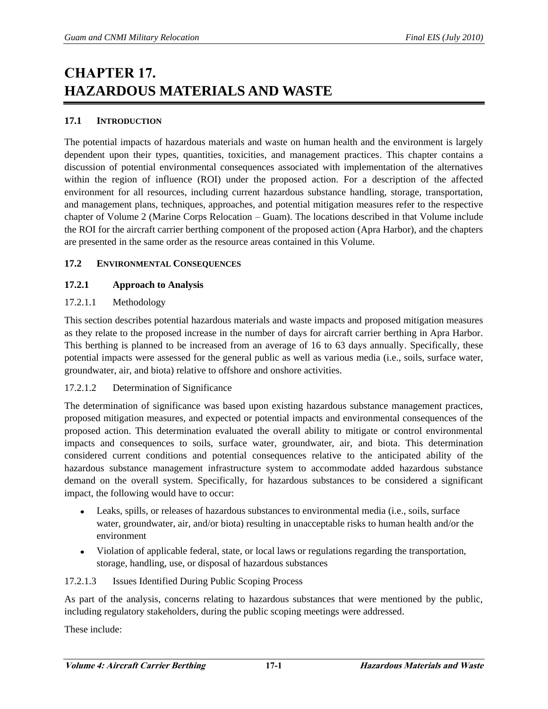# **CHAPTER 17. HAZARDOUS MATERIALS AND WASTE**

## **17.1 INTRODUCTION**

The potential impacts of hazardous materials and waste on human health and the environment is largely dependent upon their types, quantities, toxicities, and management practices. This chapter contains a discussion of potential environmental consequences associated with implementation of the alternatives within the region of influence (ROI) under the proposed action. For a description of the affected environment for all resources, including current hazardous substance handling, storage, transportation, and management plans, techniques, approaches, and potential mitigation measures refer to the respective chapter of Volume 2 (Marine Corps Relocation – Guam). The locations described in that Volume include the ROI for the aircraft carrier berthing component of the proposed action (Apra Harbor), and the chapters are presented in the same order as the resource areas contained in this Volume.

## **17.2 ENVIRONMENTAL CONSEQUENCES**

## **17.2.1 Approach to Analysis**

## 17.2.1.1 Methodology

This section describes potential hazardous materials and waste impacts and proposed mitigation measures as they relate to the proposed increase in the number of days for aircraft carrier berthing in Apra Harbor. This berthing is planned to be increased from an average of 16 to 63 days annually. Specifically, these potential impacts were assessed for the general public as well as various media (i.e., soils, surface water, groundwater, air, and biota) relative to offshore and onshore activities.

## 17.2.1.2 Determination of Significance

The determination of significance was based upon existing hazardous substance management practices, proposed mitigation measures, and expected or potential impacts and environmental consequences of the proposed action. This determination evaluated the overall ability to mitigate or control environmental impacts and consequences to soils, surface water, groundwater, air, and biota. This determination considered current conditions and potential consequences relative to the anticipated ability of the hazardous substance management infrastructure system to accommodate added hazardous substance demand on the overall system. Specifically, for hazardous substances to be considered a significant impact, the following would have to occur:

- Leaks, spills, or releases of hazardous substances to environmental media (i.e., soils, surface water, groundwater, air, and/or biota) resulting in unacceptable risks to human health and/or the environment
- Violation of applicable federal, state, or local laws or regulations regarding the transportation, storage, handling, use, or disposal of hazardous substances

## 17.2.1.3 Issues Identified During Public Scoping Process

As part of the analysis, concerns relating to hazardous substances that were mentioned by the public, including regulatory stakeholders, during the public scoping meetings were addressed.

These include: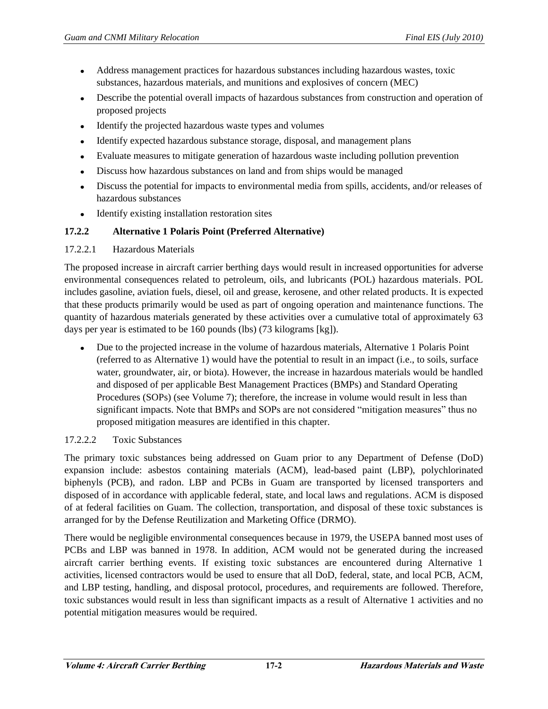- Address management practices for hazardous substances including hazardous wastes, toxic  $\bullet$ substances, hazardous materials, and munitions and explosives of concern (MEC)
- Describe the potential overall impacts of hazardous substances from construction and operation of proposed projects
- Identify the projected hazardous waste types and volumes  $\bullet$
- Identify expected hazardous substance storage, disposal, and management plans  $\bullet$
- Evaluate measures to mitigate generation of hazardous waste including pollution prevention  $\bullet$
- Discuss how hazardous substances on land and from ships would be managed  $\bullet$
- Discuss the potential for impacts to environmental media from spills, accidents, and/or releases of  $\bullet$ hazardous substances
- $\bullet$ Identify existing installation restoration sites

## **17.2.2 Alternative 1 Polaris Point (Preferred Alternative)**

## 17.2.2.1 Hazardous Materials

The proposed increase in aircraft carrier berthing days would result in increased opportunities for adverse environmental consequences related to petroleum, oils, and lubricants (POL) hazardous materials. POL includes gasoline, aviation fuels, diesel, oil and grease, kerosene, and other related products. It is expected that these products primarily would be used as part of ongoing operation and maintenance functions. The quantity of hazardous materials generated by these activities over a cumulative total of approximately 63 days per year is estimated to be 160 pounds (lbs) (73 kilograms [kg]).

Due to the projected increase in the volume of hazardous materials, Alternative 1 Polaris Point (referred to as Alternative 1) would have the potential to result in an impact (i.e., to soils, surface water, groundwater, air, or biota). However, the increase in hazardous materials would be handled and disposed of per applicable Best Management Practices (BMPs) and Standard Operating Procedures (SOPs) (see Volume 7); therefore, the increase in volume would result in less than significant impacts. Note that BMPs and SOPs are not considered "mitigation measures" thus no proposed mitigation measures are identified in this chapter.

## 17.2.2.2 Toxic Substances

The primary toxic substances being addressed on Guam prior to any Department of Defense (DoD) expansion include: asbestos containing materials (ACM), lead-based paint (LBP), polychlorinated biphenyls (PCB), and radon. LBP and PCBs in Guam are transported by licensed transporters and disposed of in accordance with applicable federal, state, and local laws and regulations. ACM is disposed of at federal facilities on Guam. The collection, transportation, and disposal of these toxic substances is arranged for by the Defense Reutilization and Marketing Office (DRMO).

There would be negligible environmental consequences because in 1979, the USEPA banned most uses of PCBs and LBP was banned in 1978. In addition, ACM would not be generated during the increased aircraft carrier berthing events. If existing toxic substances are encountered during Alternative 1 activities, licensed contractors would be used to ensure that all DoD, federal, state, and local PCB, ACM, and LBP testing, handling, and disposal protocol, procedures, and requirements are followed. Therefore, toxic substances would result in less than significant impacts as a result of Alternative 1 activities and no potential mitigation measures would be required.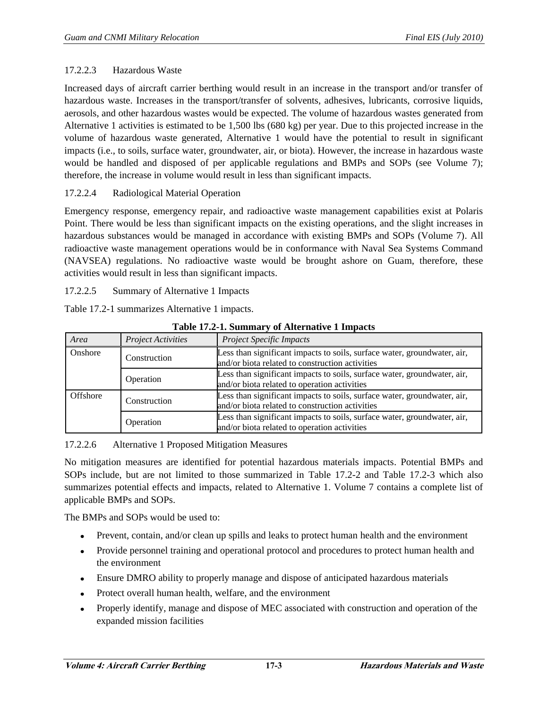## 17.2.2.3 Hazardous Waste

Increased days of aircraft carrier berthing would result in an increase in the transport and/or transfer of hazardous waste. Increases in the transport/transfer of solvents, adhesives, lubricants, corrosive liquids, aerosols, and other hazardous wastes would be expected. The volume of hazardous wastes generated from Alternative 1 activities is estimated to be 1,500 lbs (680 kg) per year. Due to this projected increase in the volume of hazardous waste generated, Alternative 1 would have the potential to result in significant impacts (i.e., to soils, surface water, groundwater, air, or biota). However, the increase in hazardous waste would be handled and disposed of per applicable regulations and BMPs and SOPs (see Volume 7); therefore, the increase in volume would result in less than significant impacts.

## 17.2.2.4 Radiological Material Operation

Emergency response, emergency repair, and radioactive waste management capabilities exist at Polaris Point. There would be less than significant impacts on the existing operations, and the slight increases in hazardous substances would be managed in accordance with existing BMPs and SOPs (Volume 7). All radioactive waste management operations would be in conformance with Naval Sea Systems Command (NAVSEA) regulations. No radioactive waste would be brought ashore on Guam, therefore, these activities would result in less than significant impacts.

17.2.2.5 Summary of Alternative 1 Impacts

Table 17.2-1 summarizes Alternative 1 impacts.

| $\frac{1}{2}$ and $\frac{1}{2}$ are $\frac{1}{2}$ . The set of $\frac{1}{2}$ and $\frac{1}{2}$ are $\frac{1}{2}$ and $\frac{1}{2}$ are $\frac{1}{2}$ |                           |                                                                                                                             |  |  |
|------------------------------------------------------------------------------------------------------------------------------------------------------|---------------------------|-----------------------------------------------------------------------------------------------------------------------------|--|--|
| Area                                                                                                                                                 | <b>Project Activities</b> | <b>Project Specific Impacts</b>                                                                                             |  |  |
| Onshore                                                                                                                                              | Construction              | Less than significant impacts to soils, surface water, groundwater, air,<br>and/or biota related to construction activities |  |  |
|                                                                                                                                                      | Operation                 | Less than significant impacts to soils, surface water, groundwater, air,<br>and/or biota related to operation activities    |  |  |
| Offshore                                                                                                                                             | Construction              | Less than significant impacts to soils, surface water, groundwater, air,<br>and/or biota related to construction activities |  |  |
|                                                                                                                                                      | Operation                 | Less than significant impacts to soils, surface water, groundwater, air,<br>and/or biota related to operation activities    |  |  |

**Table 17.2-1. Summary of Alternative 1 Impacts** 

17.2.2.6 Alternative 1 Proposed Mitigation Measures

No mitigation measures are identified for potential hazardous materials impacts. Potential BMPs and SOPs include, but are not limited to those summarized in Table 17.2-2 and Table 17.2-3 which also summarizes potential effects and impacts, related to Alternative 1. Volume 7 contains a complete list of applicable BMPs and SOPs.

The BMPs and SOPs would be used to:

- Prevent, contain, and/or clean up spills and leaks to protect human health and the environment  $\bullet$
- Provide personnel training and operational protocol and procedures to protect human health and the environment
- Ensure DMRO ability to properly manage and dispose of anticipated hazardous materials  $\bullet$
- Protect overall human health, welfare, and the environment  $\bullet$
- Properly identify, manage and dispose of MEC associated with construction and operation of the  $\bullet$ expanded mission facilities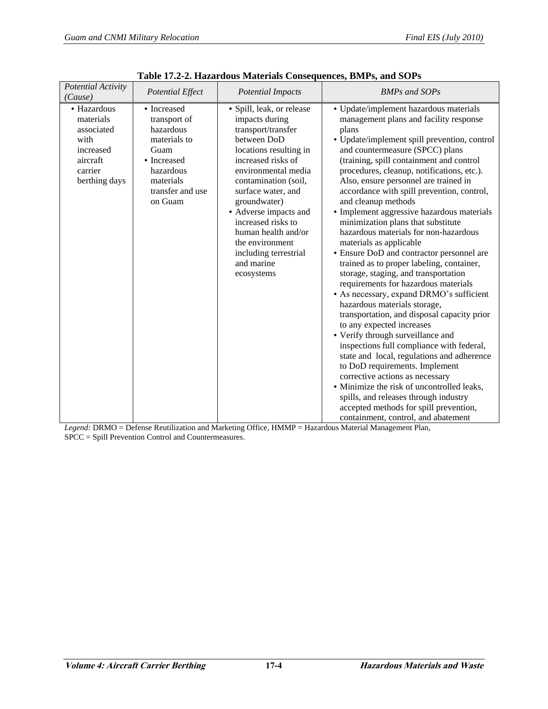| Potential Activity<br>(Cause)                                                                       | <b>Potential Effect</b>                                                                                                                  | <b>Potential Impacts</b>                                                                                                                                                                                                                                                                                                                                            | <b>BMPs and SOPs</b>                                                                                                                                                                                                                                                                                                                                                                                                                                                                                                                                                                                                                                                                                                                                                                                                                                                                                                                                                                                                                                                                                                                                                                                                                                        |
|-----------------------------------------------------------------------------------------------------|------------------------------------------------------------------------------------------------------------------------------------------|---------------------------------------------------------------------------------------------------------------------------------------------------------------------------------------------------------------------------------------------------------------------------------------------------------------------------------------------------------------------|-------------------------------------------------------------------------------------------------------------------------------------------------------------------------------------------------------------------------------------------------------------------------------------------------------------------------------------------------------------------------------------------------------------------------------------------------------------------------------------------------------------------------------------------------------------------------------------------------------------------------------------------------------------------------------------------------------------------------------------------------------------------------------------------------------------------------------------------------------------------------------------------------------------------------------------------------------------------------------------------------------------------------------------------------------------------------------------------------------------------------------------------------------------------------------------------------------------------------------------------------------------|
| • Hazardous<br>materials<br>associated<br>with<br>increased<br>aircraft<br>carrier<br>berthing days | • Increased<br>transport of<br>hazardous<br>materials to<br>Guam<br>• Increased<br>hazardous<br>materials<br>transfer and use<br>on Guam | · Spill, leak, or release<br>impacts during<br>transport/transfer<br>between DoD<br>locations resulting in<br>increased risks of<br>environmental media<br>contamination (soil,<br>surface water, and<br>groundwater)<br>• Adverse impacts and<br>increased risks to<br>human health and/or<br>the environment<br>including terrestrial<br>and marine<br>ecosystems | • Update/implement hazardous materials<br>management plans and facility response<br>plans<br>• Update/implement spill prevention, control<br>and countermeasure (SPCC) plans<br>(training, spill containment and control<br>procedures, cleanup, notifications, etc.).<br>Also, ensure personnel are trained in<br>accordance with spill prevention, control,<br>and cleanup methods<br>• Implement aggressive hazardous materials<br>minimization plans that substitute<br>hazardous materials for non-hazardous<br>materials as applicable<br>• Ensure DoD and contractor personnel are<br>trained as to proper labeling, container,<br>storage, staging, and transportation<br>requirements for hazardous materials<br>• As necessary, expand DRMO's sufficient<br>hazardous materials storage,<br>transportation, and disposal capacity prior<br>to any expected increases<br>• Verify through surveillance and<br>inspections full compliance with federal,<br>state and local, regulations and adherence<br>to DoD requirements. Implement<br>corrective actions as necessary<br>• Minimize the risk of uncontrolled leaks,<br>spills, and releases through industry<br>accepted methods for spill prevention,<br>containment, control, and abatement |

**Table 17.2-2. Hazardous Materials Consequences, BMPs, and SOPs**

*Legend:* DRMO = Defense Reutilization and Marketing Office, HMMP = Hazardous Material Management Plan, SPCC = Spill Prevention Control and Countermeasures.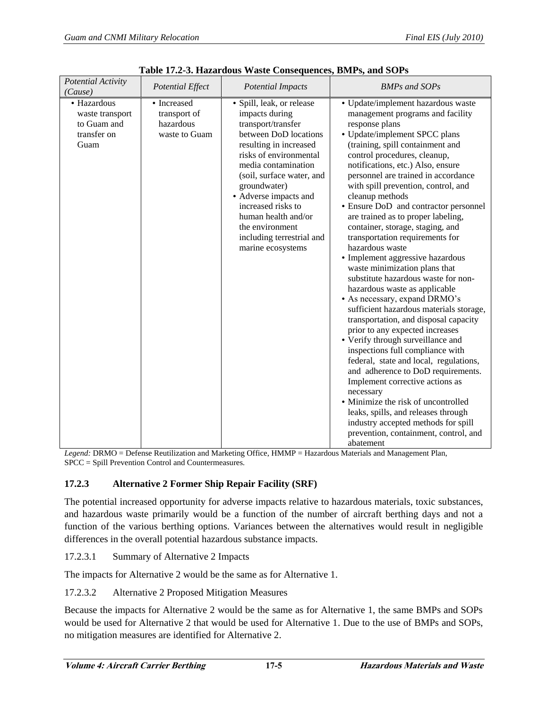| <b>Potential Activity</b><br>(Cause)                                 | <b>Potential Effect</b>                                   | <b>Potential Impacts</b>                                                                                                                                                                                                                                                                                                                                      | <b>BMPs and SOPs</b>                                                                                                                                                                                                                                                                                                                                                                                                                                                                                                                                                                                                                                                                                                                                                                                                                                                                                                                                                                                                                                                                                                                                                                                  |
|----------------------------------------------------------------------|-----------------------------------------------------------|---------------------------------------------------------------------------------------------------------------------------------------------------------------------------------------------------------------------------------------------------------------------------------------------------------------------------------------------------------------|-------------------------------------------------------------------------------------------------------------------------------------------------------------------------------------------------------------------------------------------------------------------------------------------------------------------------------------------------------------------------------------------------------------------------------------------------------------------------------------------------------------------------------------------------------------------------------------------------------------------------------------------------------------------------------------------------------------------------------------------------------------------------------------------------------------------------------------------------------------------------------------------------------------------------------------------------------------------------------------------------------------------------------------------------------------------------------------------------------------------------------------------------------------------------------------------------------|
| • Hazardous<br>waste transport<br>to Guam and<br>transfer on<br>Guam | • Increased<br>transport of<br>hazardous<br>waste to Guam | · Spill, leak, or release<br>impacts during<br>transport/transfer<br>between DoD locations<br>resulting in increased<br>risks of environmental<br>media contamination<br>(soil, surface water, and<br>groundwater)<br>• Adverse impacts and<br>increased risks to<br>human health and/or<br>the environment<br>including terrestrial and<br>marine ecosystems | • Update/implement hazardous waste<br>management programs and facility<br>response plans<br>• Update/implement SPCC plans<br>(training, spill containment and<br>control procedures, cleanup,<br>notifications, etc.) Also, ensure<br>personnel are trained in accordance<br>with spill prevention, control, and<br>cleanup methods<br>• Ensure DoD and contractor personnel<br>are trained as to proper labeling,<br>container, storage, staging, and<br>transportation requirements for<br>hazardous waste<br>· Implement aggressive hazardous<br>waste minimization plans that<br>substitute hazardous waste for non-<br>hazardous waste as applicable<br>• As necessary, expand DRMO's<br>sufficient hazardous materials storage,<br>transportation, and disposal capacity<br>prior to any expected increases<br>• Verify through surveillance and<br>inspections full compliance with<br>federal, state and local, regulations,<br>and adherence to DoD requirements.<br>Implement corrective actions as<br>necessary<br>• Minimize the risk of uncontrolled<br>leaks, spills, and releases through<br>industry accepted methods for spill<br>prevention, containment, control, and<br>abatement |

**Table 17.2-3. Hazardous Waste Consequences, BMPs, and SOPs** 

*Legend:* DRMO = Defense Reutilization and Marketing Office, HMMP = Hazardous Materials and Management Plan, SPCC = Spill Prevention Control and Countermeasures*.*

## **17.2.3 Alternative 2 Former Ship Repair Facility (SRF)**

The potential increased opportunity for adverse impacts relative to hazardous materials, toxic substances, and hazardous waste primarily would be a function of the number of aircraft berthing days and not a function of the various berthing options. Variances between the alternatives would result in negligible differences in the overall potential hazardous substance impacts.

17.2.3.1 Summary of Alternative 2 Impacts

The impacts for Alternative 2 would be the same as for Alternative 1.

17.2.3.2 Alternative 2 Proposed Mitigation Measures

Because the impacts for Alternative 2 would be the same as for Alternative 1, the same BMPs and SOPs would be used for Alternative 2 that would be used for Alternative 1. Due to the use of BMPs and SOPs, no mitigation measures are identified for Alternative 2.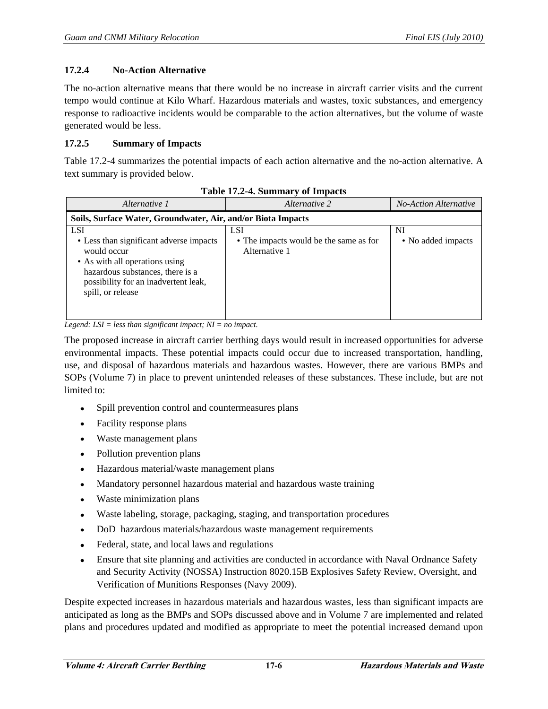## **17.2.4 No-Action Alternative**

The no-action alternative means that there would be no increase in aircraft carrier visits and the current tempo would continue at Kilo Wharf. Hazardous materials and wastes, toxic substances, and emergency response to radioactive incidents would be comparable to the action alternatives, but the volume of waste generated would be less.

## **17.2.5 Summary of Impacts**

Table 17.2-4 summarizes the potential impacts of each action alternative and the no-action alternative. A text summary is provided below.

| Alternative 1                                                                                                                                                                                           | Alternative 2                                                         | <b>No-Action Alternative</b> |  |  |  |
|---------------------------------------------------------------------------------------------------------------------------------------------------------------------------------------------------------|-----------------------------------------------------------------------|------------------------------|--|--|--|
| Soils, Surface Water, Groundwater, Air, and/or Biota Impacts                                                                                                                                            |                                                                       |                              |  |  |  |
| <b>LSI</b><br>• Less than significant adverse impacts<br>would occur<br>• As with all operations using<br>hazardous substances, there is a<br>possibility for an inadvertent leak,<br>spill, or release | <b>LSI</b><br>• The impacts would be the same as for<br>Alternative 1 | NI<br>• No added impacts     |  |  |  |

**Table 17.2-4. Summary of Impacts** 

*Legend: LSI = less than significant impact; NI = no impact.* 

The proposed increase in aircraft carrier berthing days would result in increased opportunities for adverse environmental impacts. These potential impacts could occur due to increased transportation, handling, use, and disposal of hazardous materials and hazardous wastes. However, there are various BMPs and SOPs (Volume 7) in place to prevent unintended releases of these substances. These include, but are not limited to:

- Spill prevention control and countermeasures plans
- $\bullet$ Facility response plans
- Waste management plans  $\bullet$
- Pollution prevention plans
- Hazardous material/waste management plans  $\bullet$
- Mandatory personnel hazardous material and hazardous waste training  $\bullet$
- Waste minimization plans  $\bullet$
- Waste labeling, storage, packaging, staging, and transportation procedures  $\bullet$
- DoD hazardous materials/hazardous waste management requirements  $\bullet$
- Federal, state, and local laws and regulations  $\bullet$
- $\bullet$ Ensure that site planning and activities are conducted in accordance with Naval Ordnance Safety and Security Activity (NOSSA) Instruction 8020.15B Explosives Safety Review, Oversight, and Verification of Munitions Responses (Navy 2009).

Despite expected increases in hazardous materials and hazardous wastes, less than significant impacts are anticipated as long as the BMPs and SOPs discussed above and in Volume 7 are implemented and related plans and procedures updated and modified as appropriate to meet the potential increased demand upon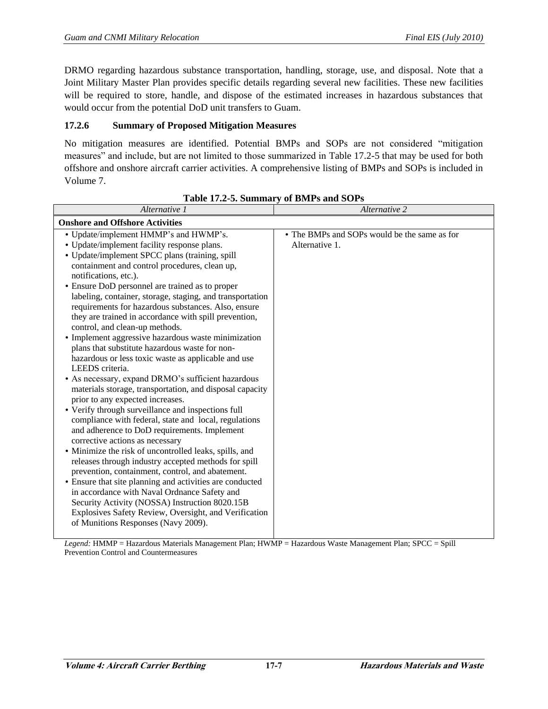DRMO regarding hazardous substance transportation, handling, storage, use, and disposal. Note that a Joint Military Master Plan provides specific details regarding several new facilities. These new facilities will be required to store, handle, and dispose of the estimated increases in hazardous substances that would occur from the potential DoD unit transfers to Guam.

## **17.2.6 Summary of Proposed Mitigation Measures**

No mitigation measures are identified. Potential BMPs and SOPs are not considered "mitigation measures" and include, but are not limited to those summarized in Table 17.2-5 that may be used for both offshore and onshore aircraft carrier activities. A comprehensive listing of BMPs and SOPs is included in Volume 7.

| Alternative 1                                                                                           | Alternative 2                                |  |  |  |
|---------------------------------------------------------------------------------------------------------|----------------------------------------------|--|--|--|
| <b>Onshore and Offshore Activities</b>                                                                  |                                              |  |  |  |
| • Update/implement HMMP's and HWMP's.                                                                   | • The BMPs and SOPs would be the same as for |  |  |  |
| • Update/implement facility response plans.                                                             | Alternative 1.                               |  |  |  |
| • Update/implement SPCC plans (training, spill                                                          |                                              |  |  |  |
| containment and control procedures, clean up,                                                           |                                              |  |  |  |
| notifications, etc.).                                                                                   |                                              |  |  |  |
| • Ensure DoD personnel are trained as to proper                                                         |                                              |  |  |  |
| labeling, container, storage, staging, and transportation                                               |                                              |  |  |  |
| requirements for hazardous substances. Also, ensure                                                     |                                              |  |  |  |
| they are trained in accordance with spill prevention,                                                   |                                              |  |  |  |
| control, and clean-up methods.                                                                          |                                              |  |  |  |
| • Implement aggressive hazardous waste minimization                                                     |                                              |  |  |  |
| plans that substitute hazardous waste for non-                                                          |                                              |  |  |  |
| hazardous or less toxic waste as applicable and use                                                     |                                              |  |  |  |
| LEEDS criteria.                                                                                         |                                              |  |  |  |
| • As necessary, expand DRMO's sufficient hazardous                                                      |                                              |  |  |  |
| materials storage, transportation, and disposal capacity                                                |                                              |  |  |  |
| prior to any expected increases.                                                                        |                                              |  |  |  |
| • Verify through surveillance and inspections full                                                      |                                              |  |  |  |
| compliance with federal, state and local, regulations                                                   |                                              |  |  |  |
| and adherence to DoD requirements. Implement                                                            |                                              |  |  |  |
| corrective actions as necessary                                                                         |                                              |  |  |  |
| • Minimize the risk of uncontrolled leaks, spills, and                                                  |                                              |  |  |  |
| releases through industry accepted methods for spill                                                    |                                              |  |  |  |
| prevention, containment, control, and abatement.                                                        |                                              |  |  |  |
| • Ensure that site planning and activities are conducted                                                |                                              |  |  |  |
| in accordance with Naval Ordnance Safety and                                                            |                                              |  |  |  |
| Security Activity (NOSSA) Instruction 8020.15B<br>Explosives Safety Review, Oversight, and Verification |                                              |  |  |  |
| of Munitions Responses (Navy 2009).                                                                     |                                              |  |  |  |
|                                                                                                         |                                              |  |  |  |

#### **Table 17.2-5. Summary of BMPs and SOPs**

*Legend:* HMMP = Hazardous Materials Management Plan; HWMP = Hazardous Waste Management Plan; SPCC = Spill Prevention Control and Countermeasures